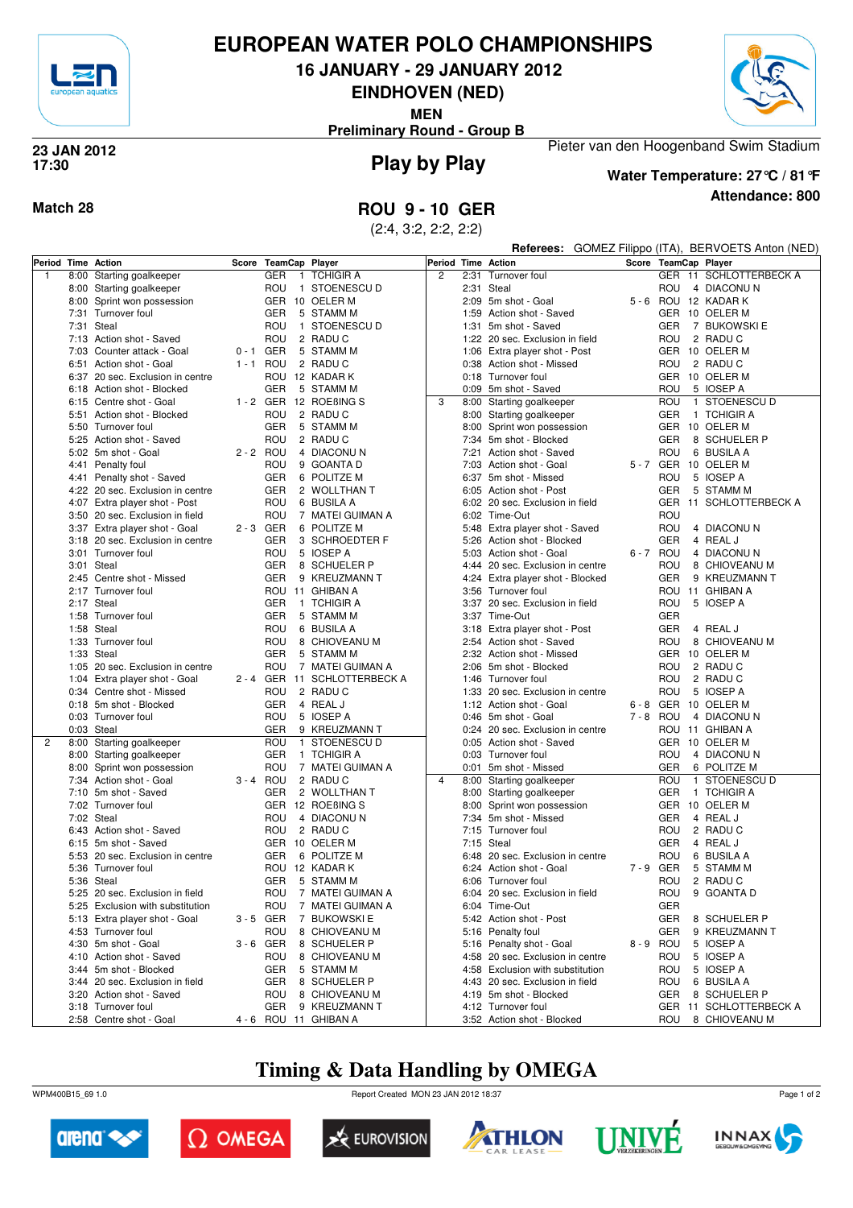

## **EUROPEAN WATER POLO CHAMPIONSHIPS**

**16 JANUARY - 29 JANUARY 2012**

**EINDHOVEN (NED)**

**MEN**

**Preliminary Round - Group B**



### **Play by Play 23 JAN 2012 17:30**



**Water Temperature: 27°C / 81°F**

Pieter van den Hoogenband Swim Stadium

**Attendance: 800**

**Match 28 ROU 9 - 10 GER**

(2:4, 3:2, 2:2, 2:2)

| Period Time Action |      |                                                       |             |                      |                              | Period Time Action |      |                                                         |         |            | Referees: GOMEZ Filippo (ITA), BERVOETS Anton (NED) |
|--------------------|------|-------------------------------------------------------|-------------|----------------------|------------------------------|--------------------|------|---------------------------------------------------------|---------|------------|-----------------------------------------------------|
|                    |      |                                                       |             | Score TeamCap Player |                              |                    |      |                                                         |         |            | Score TeamCap Player                                |
| $\mathbf{1}$       |      | 8:00 Starting goalkeeper                              |             | <b>GER</b>           | 1 TCHIGIR A                  | $\overline{c}$     | 2:31 | Turnover foul                                           |         |            | GER 11 SCHLOTTERBECK A                              |
|                    |      | 8:00 Starting goalkeeper                              |             | ROU                  | 1 STOENESCU D                |                    |      | 2:31 Steal                                              |         | ROU        | 4 DIACONUN                                          |
|                    |      | 8:00 Sprint won possession                            |             |                      | GER 10 OELER M               |                    |      | 2:09 5m shot - Goal                                     |         |            | 5 - 6 ROU 12 KADAR K                                |
|                    |      | 7:31 Turnover foul                                    |             | GER                  | 5 STAMM M                    |                    |      | 1:59 Action shot - Saved                                |         |            | GER 10 OELER M                                      |
|                    | 7:31 | Steal                                                 |             | ROU                  | 1 STOENESCU D                |                    | 1:31 | 5m shot - Saved                                         |         | GER        | 7 BUKOWSKI E                                        |
|                    |      | 7:13 Action shot - Saved                              |             | ROU                  | 2 RADU C                     |                    |      | 1:22 20 sec. Exclusion in field                         |         | ROU        | 2 RADU C                                            |
|                    | 7:03 | Counter attack - Goal                                 | 0-1 GER     |                      | 5 STAMM M                    |                    |      | 1:06 Extra player shot - Post                           |         |            | GER 10 OELER M                                      |
|                    |      | 6:51 Action shot - Goal                               |             | 1-1 ROU              | 2 RADU C                     |                    |      | 0:38 Action shot - Missed                               |         | ROU        | 2 RADUC                                             |
|                    | 6:37 | 20 sec. Exclusion in centre                           |             |                      | ROU 12 KADAR K               |                    |      | 0:18 Turnover foul                                      |         |            | GER 10 OELER M                                      |
|                    |      | 6:18 Action shot - Blocked                            |             | GER                  | 5 STAMM M                    |                    |      | 0:09 5m shot - Saved                                    |         | ROU        | 5 IOSEP A                                           |
|                    |      | 6:15 Centre shot - Goal                               |             |                      | 1 - 2 GER 12 ROEBING S       | 3                  |      | 8:00 Starting goalkeeper                                |         | ROU        | 1 STOENESCU D                                       |
|                    |      | 5:51 Action shot - Blocked                            |             | ROU                  | 2 RADU C                     |                    |      | 8:00 Starting goalkeeper                                |         | GER        | 1 TCHIGIR A                                         |
|                    |      | 5:50 Turnover foul                                    |             | <b>GER</b>           | 5 STAMM M                    |                    | 8:00 | Sprint won possession                                   |         | GER        | 10 OELER M                                          |
|                    |      | 5:25 Action shot - Saved                              |             | ROU                  | 2 RADU C                     |                    |      | 7:34 5m shot - Blocked                                  |         | GER        | 8 SCHUELER P                                        |
|                    |      | 5:02 5m shot - Goal                                   | $2 - 2$ ROU |                      | 4 DIACONUN                   |                    |      | 7:21 Action shot - Saved                                |         | ROU        | 6 BUSILA A                                          |
|                    |      | 4:41 Penalty foul                                     |             | ROU                  | 9 GOANTA D                   |                    |      | 7:03 Action shot - Goal                                 |         |            | 5 - 7 GER 10 OELER M                                |
|                    |      | 4:41 Penalty shot - Saved                             |             | GER                  | 6 POLITZE M                  |                    |      | 6:37 5m shot - Missed                                   |         | ROU        | 5 IOSEP A                                           |
|                    |      | 4:22 20 sec. Exclusion in centre                      |             | GER                  | 2 WOLLTHAN T                 |                    |      | 6:05 Action shot - Post                                 |         | GER        | 5 STAMM M                                           |
|                    |      | 4:07 Extra player shot - Post                         |             | ROU                  | 6 BUSILA A                   |                    |      | 6:02 20 sec. Exclusion in field                         |         |            | GER 11 SCHLOTTERBECK A                              |
|                    |      | 3:50 20 sec. Exclusion in field                       |             | ROU                  | 7 MATEI GUIMAN A             |                    |      | 6:02 Time-Out                                           |         | ROU        |                                                     |
|                    |      | 3:37 Extra player shot - Goal                         | 2-3 GER     |                      | 6 POLITZE M                  |                    |      | 5:48 Extra player shot - Saved                          |         | ROU        | 4 DIACONUN                                          |
|                    |      | 3:18 20 sec. Exclusion in centre                      |             | GER                  | 3 SCHROEDTER F               |                    |      | 5:26 Action shot - Blocked                              |         | <b>GER</b> | 4 REAL J                                            |
|                    |      | 3:01 Turnover foul                                    |             | ROU                  | 5 IOSEP A                    |                    |      | 5:03 Action shot - Goal                                 |         | 6-7 ROU    | 4 DIACONUN                                          |
|                    |      | 3:01 Steal                                            |             | <b>GER</b>           | 8 SCHUELER P                 |                    | 4:44 | 20 sec. Exclusion in centre                             |         | ROU        | 8 CHIOVEANU M                                       |
|                    |      | 2:45 Centre shot - Missed                             |             | GER                  | 9 KREUZMANN T                |                    |      | 4:24 Extra player shot - Blocked                        |         | GER        | 9 KREUZMANN T                                       |
|                    |      | 2:17 Turnover foul                                    |             |                      | ROU 11 GHIBAN A              |                    |      | 3:56 Turnover foul                                      |         |            | ROU 11 GHIBAN A                                     |
|                    |      | 2:17 Steal                                            |             | GER                  | 1 TCHIGIR A                  |                    |      | 3:37 20 sec. Exclusion in field                         |         | ROU        | 5 IOSEP A                                           |
|                    |      | 1:58 Turnover foul                                    |             | GER                  | 5 STAMM M                    |                    |      | 3:37 Time-Out                                           |         | <b>GER</b> |                                                     |
|                    |      | 1:58 Steal                                            |             | ROU                  | 6 BUSILA A                   |                    |      | 3:18 Extra player shot - Post                           |         | GER        | 4 REAL J                                            |
|                    |      | 1:33 Turnover foul                                    |             | ROU                  | 8 CHIOVEANU M                |                    |      | 2:54 Action shot - Saved                                |         | ROU        | 8 CHIOVEANU M                                       |
|                    |      | 1:33 Steal                                            |             | GER                  | 5 STAMM M                    |                    |      | 2:32 Action shot - Missed                               |         |            | GER 10 OELER M                                      |
|                    |      | 1:05 20 sec. Exclusion in centre                      |             | ROU                  | 7 MATEI GUIMAN A             |                    |      | 2:06 5m shot - Blocked                                  |         | ROU        | 2 RADU C                                            |
|                    |      | 1:04 Extra player shot - Goal                         |             |                      | 2 - 4 GER 11 SCHLOTTERBECK A |                    |      | 1:46 Turnover foul                                      |         | ROU        | 2 RADU C                                            |
|                    |      | 0:34 Centre shot - Missed                             |             | ROU                  | 2 RADUC                      |                    |      | 1:33 20 sec. Exclusion in centre                        |         | ROU        | 5 IOSEP A                                           |
|                    |      | 0:18 5m shot - Blocked                                |             | GER                  | 4 REAL J                     |                    |      | 1:12 Action shot - Goal                                 |         | 6-8 GER    | 10 OELER M                                          |
|                    |      |                                                       |             | ROU                  | 5 IOSEP A                    |                    |      |                                                         |         | 7-8 ROU    | 4 DIACONUN                                          |
|                    |      | 0:03 Turnover foul<br>0:03 Steal                      |             | GER                  | 9 KREUZMANN T                |                    |      | 0:46 5m shot - Goal<br>0:24 20 sec. Exclusion in centre |         |            | ROU 11 GHIBAN A                                     |
| $\overline{2}$     |      |                                                       |             | ROU                  | 1 STOENESCU D                |                    |      | 0:05 Action shot - Saved                                |         |            | GER 10 OELER M                                      |
|                    |      | 8:00 Starting goalkeeper                              |             | GER                  | 1 TCHIGIR A                  |                    |      | 0:03 Turnover foul                                      |         | ROU        | 4 DIACONUN                                          |
|                    |      | 8:00 Starting goalkeeper                              |             |                      |                              |                    |      |                                                         |         |            |                                                     |
|                    |      | 8:00 Sprint won possession<br>7:34 Action shot - Goal |             | ROU                  | 7 MATEI GUIMAN A<br>2 RADUC  | $\overline{4}$     |      | 0:01 5m shot - Missed                                   |         | GER<br>ROU | 6 POLITZE M<br>1 STOENESCU D                        |
|                    |      | 7:10 5m shot - Saved                                  | 3 - 4 ROU   | GER                  | 2 WOLLTHAN T                 |                    |      | 8:00 Starting goalkeeper                                |         | GER        | 1 TCHIGIR A                                         |
|                    |      | 7:02 Turnover foul                                    |             |                      |                              |                    |      | 8:00 Starting goalkeeper                                |         |            |                                                     |
|                    |      |                                                       |             |                      | GER 12 ROEBING S             |                    |      | 8:00 Sprint won possession                              |         | <b>GER</b> | 10 OELER M                                          |
|                    |      | 7:02 Steal                                            |             | ROU                  | 4 DIACONUN                   |                    |      | 7:34 5m shot - Missed                                   |         | GER        | 4 REAL J                                            |
|                    |      | 6:43 Action shot - Saved                              |             | ROU                  | 2 RADUC                      |                    |      | 7:15 Turnover foul                                      |         | ROU        | 2 RADU C                                            |
|                    |      | 6:15 5m shot - Saved                                  |             |                      | GER 10 OELER M               |                    |      | $7:15$ Steal                                            |         | GER        | 4 REAL J                                            |
|                    |      | 5:53 20 sec. Exclusion in centre                      |             | GER                  | 6 POLITZE M                  |                    |      | 6:48 20 sec. Exclusion in centre                        |         | ROU        | 6 BUSILA A                                          |
|                    |      | 5:36 Turnover foul                                    |             |                      | ROU 12 KADAR K               |                    |      | 6:24 Action shot - Goal                                 | 7-9 GER |            | 5 STAMM M                                           |
|                    |      | 5:36 Steal                                            |             | GER                  | 5 STAMM M                    |                    |      | 6:06 Turnover foul                                      |         | ROU        | 2 RADU C                                            |
|                    |      | 5:25 20 sec. Exclusion in field                       |             | ROU                  | 7 MATEI GUIMAN A             |                    |      | 6:04 20 sec. Exclusion in field                         |         | ROU        | 9 GOANTA D                                          |
|                    |      | 5:25 Exclusion with substitution                      |             | ROU                  | 7 MATEI GUIMAN A             |                    |      | 6:04 Time-Out                                           |         | GER        |                                                     |
|                    |      | 5:13 Extra player shot - Goal                         | 3-5 GER     | $\overline{7}$       | <b>BUKOWSKI E</b>            |                    |      | 5:42 Action shot - Post                                 |         | GER        | 8 SCHUELER P                                        |
|                    |      | 4:53 Turnover foul                                    |             | ROU                  | 8 CHIOVEANU M                |                    |      | 5:16 Penalty foul                                       |         | GER        | 9 KREUZMANN T                                       |
|                    |      | 4:30 5m shot - Goal                                   |             | $3 - 6$ GER          | 8 SCHUELER P                 |                    |      | 5:16 Penalty shot - Goal                                |         | 8-9 ROU    | 5 IOSEP A                                           |
|                    |      | 4:10 Action shot - Saved                              |             | ROU                  | 8 CHIOVEANU M                |                    |      | 4:58 20 sec. Exclusion in centre                        |         | ROU        | 5 IOSEP A                                           |
|                    |      | 3:44 5m shot - Blocked                                |             | GER                  | 5 STAMM M                    |                    |      | 4:58 Exclusion with substitution                        |         | ROU        | 5 IOSEP A                                           |
|                    |      | 3:44 20 sec. Exclusion in field                       |             | GER                  | 8 SCHUELER P                 |                    |      | 4:43 20 sec. Exclusion in field                         |         | ROU        | 6 BUSILA A                                          |
|                    |      | 3:20 Action shot - Saved                              |             | ROU                  | 8 CHIOVEANU M                |                    |      | 4:19 5m shot - Blocked                                  |         | GER        | 8 SCHUELER P                                        |
|                    |      | 3:18 Turnover foul                                    |             | <b>GER</b>           | 9 KREUZMANN T                |                    |      | 4:12 Turnover foul                                      |         |            | GER 11 SCHLOTTERBECK A                              |
|                    |      | 2:58 Centre shot - Goal                               |             |                      | 4 - 6 ROU 11 GHIBAN A        |                    |      | 3:52 Action shot - Blocked                              |         | ROU        | 8 CHIOVEANU M                                       |

# **Timing & Data Handling by OMEGA**

WPM400B15\_69 1.0 Report Created MON 23 JAN 2012 18:37













Page 1 of 2